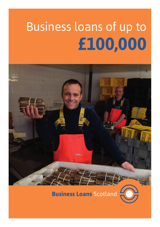# Business loans of up to **£100,000**



**Business Loans Scotland**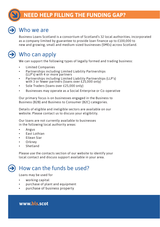### **NEED HELP FILLING THE FUNDING GAP?**



#### Who we are

Business Loans Scotland is a consortium of Scotland's 32 local authorities, incorporated as a company limited by guarantee to provide loan finance up to £100,000 to new and growing, small and medium-sized businesses (SMEs) across Scotland.



#### Who can apply

We can support the following types of legally formed and trading business:

- Limited Companies
- Partnerships including Limited Liability Partnerships (LLP's) with 4 or more partners
- Partnerships including Limited Liability Partnerships (LLP's) with 3 or fewer partners (loans over £25,000 only)
- Sole Traders (loans over £25,000 only)
- Businesses may operate as a Social Enterprise or Co-operative

Our primary focus is on businesses engaged in the Business to Business (B2B) and Business to Consumer (B2C) categories.

Details of eligible and ineligible sectors are available on our website. Please contact us to discuss your eligibility.

Our loans are not currently available to businesses in the following local authority areas:

- Angus
- East Lothian
- Eilean Siar
- **Orkney**
- **Shetland**

Please use the contacts section of our website to identify your local contact and discuss support available in your area.

## How can the funds be used?

Loans may be used for

- working capital
- purchase of plant and equipment
- purchase of business property

**www.bls.scot**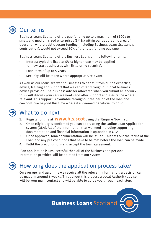#### Our terms

Business Loans Scotland offers gap funding up to a maximum of £100k to small and medium sized enterprises (SMEs) within our geographic area of operation where public sector funding (including Business Loans Scotland's contribution), would not exceed 50% of the total funding package.

Business Loans Scotland offers Business Loans on the following terms:

- Interest typically fixed at 6% (a higher rate may be applied for new start businesses with little or no security).
- Loan term of up to 5 years.
- Security will be taken where appropriate/relevant.

As well as our loans, we want businesses to benefit from all the expertise, advice, training and support that we can offer through our local business advice provision. The business adviser allocated when you submit an enquiry to us will discuss your requirements and offer support and assistance where relevant. This support is available throughout the period of the loan and can continue beyond this time where it is deemed beneficial to do so.

# What to do next

- 1. Register online at **www.bls.scot** using the 'Enquire Now' tab.
- 2. Once eligibility is confirmed you can apply using the Online Loan Application system (OLA). All of the information that we need including supporting documentation and financial information is uploaded in OLA.
- 3. Once approved, loan documentation will be issued. This sets out the terms of the Loan and any pre conditions that have to be met before the loan can be made.
- 4. Fulfil the preconditions and accept the loan agreement.

If an application is unsuccessful then all of the business and personal information provided will be deleted from our system.

#### How long does the application process take?

On average, and assuming we receive all the relevant information, a decision can be made in around 6 weeks. Throughout this process a Local Authority adviser will be your main contact and will be able to guide you through each step.

**Business Loans Scotland**